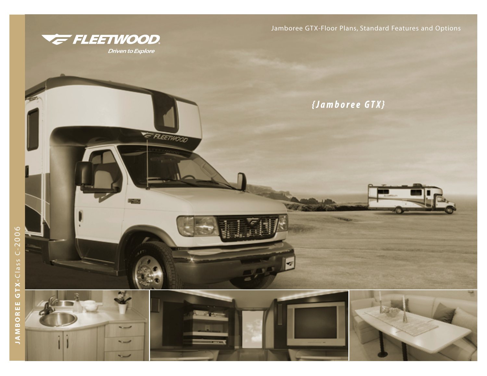

۰.

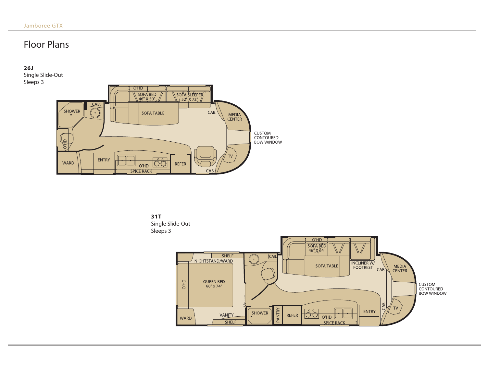# Floor Plans

**26J** Single Slide-Out Sleeps 3





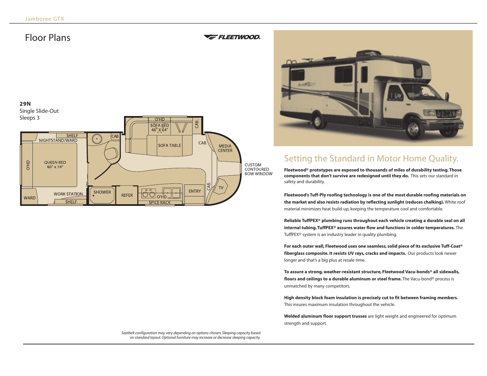# Floor Plans

## **E FLEETWOOD**





# Setting the Standard in Motor Home Quality.

**Fleetwood® prototypes are exposed to thousands of miles of durability testing. Those components that don't survive are redesigned until they do.** This sets our standard in safety and durability.

**Fleetwood's Tuff-Ply roofing technology is one of the most durable roofing materials on the market and also resists radiation by reflecting sunlight (reduces chalking).** White roof material minimizes heat build-up, keeping the temperature cool and comfortable.

**Reliable TuffPEX® plumbing runs throughout each vehicle creating a durable seal on all internal tubing. TuffPEX® assures water flow and functions in colder temperatures.** The TuffPEX® system is an industry leader in quality plumbing.

**For each outer wall, Fleetwood uses one seamless, solid piece of its exclusive Tuff-Coat® fiberglass composite. It resists UV rays, cracks and impacts.** Our products look newer longer and that's a big plus at resale time.

**To assure a strong, weather-resistant structure, Fleetwood Vacu-bonds® all sidewalls, floors and ceilings to a durable aluminum or steel frame.** The Vacu-bond® process is unmatched by many competitors.

**High density block foam insulation is precisely cut to fit between framing members.** This insures maximum insulation throughout the vehicle.

**Welded aluminum floor support trusses** are light weight and engineered for optimum strength and support.

*Seatbelt configuration may vary depending on options chosen. Sleeping capacity based on standard layout. Optional furniture may increase or decrease sleeping capacity.*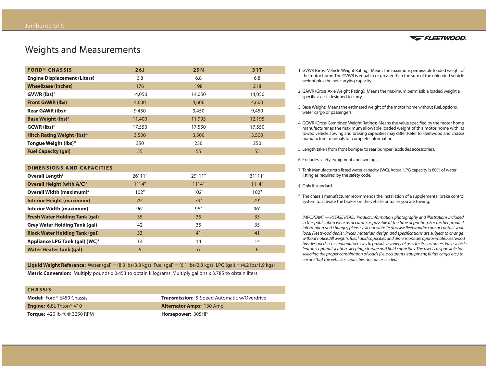# Weights and Measurements

| <b>FORD® CHASSIS</b>                  | 26J    | <b>29N</b> | 31T    |
|---------------------------------------|--------|------------|--------|
| <b>Engine Displacement (Liters)</b>   | 6.8    | 6.8        | 6.8    |
| <b>Wheelbase (Inches)</b>             | 176    | 198        | 218    |
| $GVWR$ (lbs) <sup>1</sup>             | 14,050 | 14,050     | 14,050 |
| Front GAWR (lbs) <sup>2</sup>         | 4,600  | 4,600      | 4,600  |
| Rear GAWR (lbs) <sup>2</sup>          | 9,450  | 9,450      | 9,450  |
| <b>Base Weight (lbs)</b> <sup>3</sup> | 11,400 | 11,995     | 12,195 |
| $GCWR$ (lbs) <sup>4</sup>             | 17,550 | 17,550     | 17,550 |
| <b>Hitch Rating Weight (lbs)*</b>     | 3,500  | 3,500      | 3,500  |
| Tongue Weight (lbs)*                  | 350    | 250        | 250    |
| <b>Fuel Capacity (gal)</b>            | 55     | 55         | 55     |

| <b>DIMENSIONS AND CAPACITIES</b>             |         |         |        |
|----------------------------------------------|---------|---------|--------|
| Overall Length <sup>5</sup>                  | 26' 11" | 29' 11" | 31'11" |
| <b>Overall Height (with A/C)<sup>+</sup></b> | 11'4"   | 11'4"   | 11'4"  |
| Overall Width (maximum) <sup>6</sup>         | 102"    | 102"    | 102"   |
| <b>Interior Height (maximum)</b>             | 79"     | 79"     | 79"    |
| <b>Interior Width (maximum)</b>              | 96"     | 96"     | 96"    |
| <b>Fresh Water Holding Tank (gal)</b>        | 35      | 35      | 35     |
| <b>Grey Water Holding Tank (gal)</b>         | 42      | 35      | 35     |
| <b>Black Water Holding Tank (gal)</b>        | 33      | 41      | 41     |
| Appliance LPG Tank (gal) (WC) <sup>7</sup>   | 14      | 14      | 14     |
| <b>Water Heater Tank (gal)</b>               | 6       | 6       | 6      |

**Liquid Weight Reference:** Water (gal) = (8.3 lbs/3.8 kgs) Fuel (gal) = (6.1 lbs/2.8 kgs) LPG (gal) = (4.2 lbs/1.9 kgs)

**Metric Conversion:** Multiply pounds x 0.453 to obtain kilograms. Multiply gallons x 3.785 to obtain liters.

| <b>CHASSIS</b>                              |                                                    |
|---------------------------------------------|----------------------------------------------------|
| <b>Model:</b> Ford® E450 Chassis            | <b>Transmission:</b> 5-Speed Automatic w/Overdrive |
| <b>Engine:</b> 6.8L Triton <sup>®</sup> V10 | <b>Alternator Amps: 130 Amp</b>                    |
| <b>Torque:</b> 420 lb-ft $@$ 3250 RPM       | Horsepower: 305HP                                  |



- 1. GVWR (Gross Vehicle Weight Rating): Means the maximum permissible loaded weight of the motor home.The GVWR is equal to or greater than the sum of the unloaded vehicle weight plus the net carrying capacity.
- 2. GAWR (Gross Axle Weight Rating): Means the maximum permissible loaded weight a specific axle is designed to carry.
- 3. Base Weight: Means the estimated weight of the motor home without fuel, options, water, cargo or passengers.
- 4. GCWR (Gross Combined Weight Rating): Means the value specified by the motor home manufacturer as the maximum allowable loaded weight of this motor home with its towed vehicle.Towing and braking capacities may differ. Refer to Fleetwood and chassis manufacturer manuals for complete information.
- 5. Length taken from front bumper to rear bumper (excludes accessories).
- 6. Excludes safety equipment and awnings.
- 7. Tank Manufacturer's listed water capacity (WC). Actual LPG capacity is 80% of water listing as required by the safety code.
- † Only if standard.
- \* The chassis manufacturer recommends the installation of a supplemental brake control system to activate the brakes on the vehicle or trailer you are towing.

*IMPORTANT — PLEASE READ: Product information, photography and illustrations included in this publication were as accurate as possible at the time of printing. For further product information and changes, please visit our website at www.fleetwoodrv.com or contact your local Fleetwood dealer. Prices, materials, design and specifications are subject to change without notice.All weights, fuel, liquid capacities and dimensions are approximate.Fleetwood has designed its recreational vehicles to provide a variety of uses for its customers.Each vehicle features optimal seating, sleeping, storage and fluid capacities.The user is responsible for selecting the proper combination of loads (i.e. occupants, equipment, fluids, cargo, etc.) to ensure that the vehicle's capacities are not exceeded.*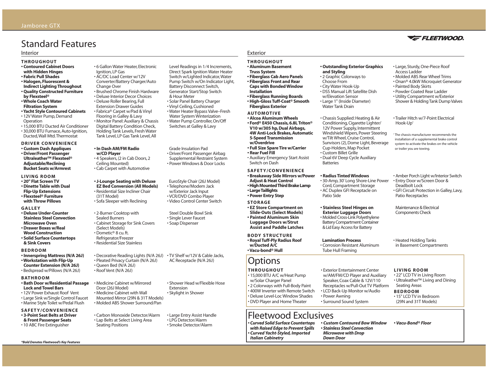# Standard Features

#### Interior

- **THROUGHOUT**
- **Contoured Cabinet Doors**
- **with Hidden Hinges**
- **Fabric Pull Shades • Halogen, Fluorescent &**
- **Indirect Lighting Throughout**
- **Quality Constructed Furniture by Flexsteel®**
- **Whole Coach Water**
- **Filtration System • Yacht Style Contoured Cabinets**
- 12V Water Pump, Demand **Operation**
- 15,000 BTU Ducted Air Conditioner • 30,000 BTU Furnace, Auto-Ignition, Ducted,Wall Mtd.Thermostat

### **DRIVER CONVENIENCE**

- **Custom Dash Appliques • Driver/Front Passenger Ultraleather™ Flexsteel® Adjustable/Reclining Bucket Seats w/Armrest**
- **LIVING ROOM**
- **20" Flat Screen TV • Dinette Table with Dual**
- **Flip-Up Extensions • Flexsteel® Furniture with Throw Pillows**

### **GALLEY**

- **Deluxe Under-Counter Stainless Steel Convection Microwave Oven**
- **Drawer Boxes w/Real Wood Construction**
- **Solid Surface Countertops & Sink Covers**

### **BEDROOM**

- **Innerspring Mattress (N/A 26J) • Workstation with Flip-Up**
- **Counter Extension (N/A 26J)**
- Bedspread w/Pillows (N/A 26J)
- **BATHROOM**
- **Bath Door w/Residential Passage Lock and Towel Bars**
- 12V Power Exhaust Roof Vent • Large Sink w/Single Control Faucet
- Marine Style Toilet w/Pedal Flush

## **SAFETY/CONVENIENCE**

**• 3-Point Seat Belts at Driver & Front Passenger Seats** • 10 ABC Fire Extinguisher

*\*Bold Denotes Fleetwood's Key Features*

### • 6 Gallon Water Heater, Electronic Ignition, LP Gas

- AC/DC Load Center w/12V
- Converter/Battery Charger/Auto
- Change Over • Brushed Chrome Finish Hardware
- Deluxe Interior Decor Choices
- Deluxe Roller Bearing, Full
- Extension Drawer Guides
	- Fabrica® Carpet w/Pad & Vinyl Flooring in Galley & Lavy • Monitor Panel: Auxiliary & Chassis Digital Battery Condition Check,
	- Holding Tank Levels, Fresh Water Tank Level, LP Gas Tank Level, All

## **• In Dash AM/FM Radio**

- **w/CD Player** • 4 Speakers, (2 in Cab Doors, 2
- Ceiling Mounted)
- Cab Carpet with Automotive

### **• J-Lounge Seating with Deluxe**

**EZ Bed Conversion (All Models)** • Residential Size Incliner Chair (31T Model) • Sofa Sleeper with Reclining

## • 2-Burner Cooktop with

- Sealed Burners • Cabinet Storage for Sink Covers
- (Select Models) • Dometic® 8 cu. ft.
- Refrigerator/Freezer • Residential Size Stainless

# • Decorative Reading Lights (N/A 26J) • TV Shelf w/12V & Cable Jacks,

- Pleated Privacy Curtain (N/A 26J)
- Queen Bed (N/A 26J) • Roof Vent (N/A 26J)
- Medicine Cabinet w/Mirrored Door (26J Model) • Medicine Cabinet with Wall
- Mounted Mirror (29N & 31T Models) • Molded ABS Shower Surround/Pan
- Carbon Monoxide Detector/Alarm • Lap Belts at Select Living Area Seating Positions

Level Readings in 1⁄4 Increments, Direct Spark Ignition Water Heater Switch w/Lighted Indicator,Water Pump Switch w/On Indicator Light, Battery Disconnect Switch, Generator Start/Stop Switch & Hour Meter • Solar Panel Battery Charger • Vinyl Ceiling, Cushioned • Water Heater Bypass Valve–Fresh Water System Winterization • Water Pump Controller, On/Off Switches at Galley & Lavy

Grade Insulation Pad • Driver/Front Passenger Airbag Supplemental Restraint System • Power Windows & Door Locks

EuroStyle Chair (26J Model) • Telephone/Modem Jack w/Exterior Jack Input • VCR/DVD Combo Player • Video Control Center Switch

Steel Double Bowl Sink • Single Lever Faucet • Soap Dispenser

AC Receptacle (N/A 26J)

Extension • Skylight in Shower

• Shower Head w/Flexible Hose

• Large Entry Assist Handle • LPG Detector/Alarm • Smoke Detector/Alarm

## Exterior

- **THROUGHOUT • Aluminum Basement**
- **Truss System • Fiberglass Cab Aero Panels • Fiberglass Front and Rear**
- **Caps with Bonded Window Installation • Fiberglass Running Boards**
- **High-Gloss Tuff-Coat® Smooth Fiberglass Exterior**

## **AUTOMOTIVE**

- **Alcoa Aluminum Wheels • Ford® E450 Chassis, 6.8L Triton® V10 w/305 hp, Dual Airbags, 4W Anti-Lock Brakes, Automatic**
- **5-Speed Transmission w/Overdrive**
- **Full Size Spare Tire w/Carrier**
- **Rear Fuel Fill** • Auxiliary Emergency Start Assist
- Switch on Dash

# **SAFETY/CONVENIENCE**

- **Breakaway Side Mirrors w/Power Adjust & Heat Control • High Mounted Third Brake Lamp • Large Taillights**
- **Power Entry Step**
- **STORAGE • EZ Store Compartment on**
- **Slide-Outs (Select Models) • Painted Aluminum Skin Luggage Doors w/Strut Assist and Paddle Latches**
- **BODY STRUCTURE • Royal Tuff-Ply Radius Roof w/Ducted A/C • Vacu-bond® Hull**

# **Options**

## **THROUGHOUT**

• 15,000 BTU A/C w/Heat Pump w/Solar Charger Panel • 2 Colorways with Full-Body Paint • 400W Inverter with Remote Switch • Deluxe Level-Loc Window Shades • DVD Player and Home Theater

## Fleetwood Exclusives *• Custom Contoured Bow Window*

*• Curved Solid Surface Countertops with Raised Edge to Prevent Spills • Curved Yacht-Styled, Imported Italian Cabinetry*

### **• Outstanding Exterior Graphics and Styling**

- 2 Graphic Colorways to Choose From
- City Water Hook-Up
- DSS Manual Lift Satellite Dish
- w/Elevation Sensor
- Large 1" (Inside Diameter) Water Tank Drain

• Chassis Supplied: Heating & Air Conditioning, Cigarette Lighter/ 12V Power Supply, Intermittent Windshield Wipers, Power Steering w/Tilt Wheel, Cruise Control, Sunvisors (2), Dome Light, Beverage Cup-Holders, Map Pocket • Custom Billet Grille • Dual 6V Deep Cycle Auxiliary Batteries

### **• Radius Tinted Windows**

• 30-Amp, 30' Long Shore-Line Power Cord, Compartment Storage • AC Duplex GFI Receptacle on Patio Side

### **• Stainless Steel Hinges on**

**Exterior Luggage Doors** • Molded Cross-Link Polyethylene Battery Compartment Container & Lid Easy Access for Battery

**Lamination Process** • Corrosion Resistant Aluminum Tube Hull Framing

*• Stainless Steel Convection Microwave with Drop Down Door*

### **LIVING ROOM**

Deadbolt Lock

Hook-Up†

Patio Receptacles

or trailer you are towing.

Maintenance & Electrical Components Check

• Heated Holding Tanks in Basement Compartments

• 22" LCD TV in Living Room • Ultraleather™ Living and Dining Seating Areas

• Amber Porch Light w/Interior Switch • Entry Door w/Screen Door &

• Trailer Hitch w/7-Point Electrical

• Large, Sturdy, One-Piece Roof

**VE FLEETWOOD** 

• Molded ABS Rear Wheel Trims • Onan® 4.0kW Microquiet Generator

Access Ladder

• Painted Body Skirts • Powder Coated Rear Ladder • Utility Compartment w/Exterior Shower & Holding Tank Dump Valves

† The chassis manufacturer recommends the installation of a supplemental brake control system to activate the brakes on the vehicle

• GFI Circuit Protection in Galley, Lavy,

### **BEDROOM**

• 15" LCD TV in Bedroom (29N and 31T Models)

*• Vacu-Bond® Floor*

• Exterior Entertainment Center w/AM/FM/CD Player and Auxiliary Speaker, Coax Cable & 12V/110 Receptacles w/Pull-Out TV Platform • LCD Back-Up Monitor w/Audio

> • Power Awning • Surround Sound System